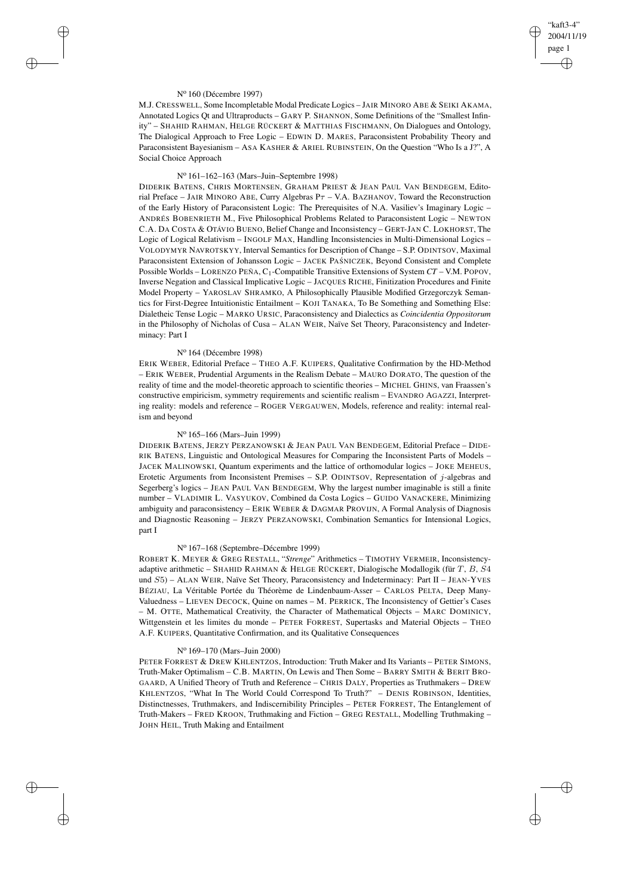# "kaft3-4" 2004/11/19 page 1 ✐ ✐

✐

✐

#### N<sup>o</sup> 160 (Décembre 1997)

✐

✐

✐

✐

M.J. CRESSWELL, Some Incompletable Modal Predicate Logics – JAIR MINORO ABE & SEIKI AKAMA, Annotated Logics Qt and Ultraproducts – GARY P. SHANNON, Some Definitions of the "Smallest Infinity" – SHAHID RAHMAN, HELGE RÜCKERT & MATTHIAS FISCHMANN, On Dialogues and Ontology, The Dialogical Approach to Free Logic – EDWIN D. MARES, Paraconsistent Probability Theory and Paraconsistent Bayesianism – ASA KASHER & ARIEL RUBINSTEIN, On the Question "Who Is a J?", A Social Choice Approach

# N<sup>o</sup> 161–162–163 (Mars–Juin–Septembre 1998)

DIDERIK BATENS, CHRIS MORTENSEN, GRAHAM PRIEST & JEAN PAUL VAN BENDEGEM, Editorial Preface – JAIR MINORO ABE, Curry Algebras  $P\tau$  – V.A. BAZHANOV, Toward the Reconstruction of the Early History of Paraconsistent Logic: The Prerequisites of N.A. Vasiliev's Imaginary Logic – ANDRÉS BOBENRIETH M., Five Philosophical Problems Related to Paraconsistent Logic – NEWTON C.A. DA COSTA & OTÁVIO BUENO, Belief Change and Inconsistency – GERT-JAN C. LOKHORST, The Logic of Logical Relativism – INGOLF MAX, Handling Inconsistencies in Multi-Dimensional Logics – VOLODYMYR NAVROTSKYY, Interval Semantics for Description of Change – S.P. ODINTSOV, Maximal Paraconsistent Extension of Johansson Logic – JACEK PAŚNICZEK, Beyond Consistent and Complete Possible Worlds – LORENZO PEÑA, C1-Compatible Transitive Extensions of System *CT* – V.M. POPOV, Inverse Negation and Classical Implicative Logic – JACQUES RICHE, Finitization Procedures and Finite Model Property – YAROSLAV SHRAMKO, A Philosophically Plausible Modified Grzegorczyk Semantics for First-Degree Intuitionistic Entailment – KOJI TANAKA, To Be Something and Something Else: Dialetheic Tense Logic – MARKO URSIC, Paraconsistency and Dialectics as *Coincidentia Oppositorum* in the Philosophy of Nicholas of Cusa – ALAN WEIR, Naïve Set Theory, Paraconsistency and Indeterminacy: Part I

# N<sup>o</sup> 164 (Décembre 1998)

ERIK WEBER, Editorial Preface – THEO A.F. KUIPERS, Qualitative Confirmation by the HD-Method – ERIK WEBER, Prudential Arguments in the Realism Debate – MAURO DORATO, The question of the reality of time and the model-theoretic approach to scientific theories – MICHEL GHINS, van Fraassen's constructive empiricism, symmetry requirements and scientific realism – EVANDRO AGAZZI, Interpreting reality: models and reference – ROGER VERGAUWEN, Models, reference and reality: internal realism and beyond

# N<sup>o</sup> 165–166 (Mars–Juin 1999)

DIDERIK BATENS, JERZY PERZANOWSKI & JEAN PAUL VAN BENDEGEM, Editorial Preface – DIDE-RIK BATENS, Linguistic and Ontological Measures for Comparing the Inconsistent Parts of Models – JACEK MALINOWSKI, Quantum experiments and the lattice of orthomodular logics – JOKE MEHEUS, Erotetic Arguments from Inconsistent Premises – S.P. ODINTSOV, Representation of  $j$ -algebras and Segerberg's logics – JEAN PAUL VAN BENDEGEM, Why the largest number imaginable is still a finite number – VLADIMIR L. VASYUKOV, Combined da Costa Logics – GUIDO VANACKERE, Minimizing ambiguity and paraconsistency – ERIK WEBER & DAGMAR PROVIJN, A Formal Analysis of Diagnosis and Diagnostic Reasoning – JERZY PERZANOWSKI, Combination Semantics for Intensional Logics, part I

### N<sup>o</sup> 167–168 (Septembre–Décembre 1999)

ROBERT K. MEYER & GREG RESTALL, "*Strenge*" Arithmetics – TIMOTHY VERMEIR, Inconsistencyadaptive arithmetic – SHAHID RAHMAN & HELGE RÜCKERT, Dialogische Modallogik (für  $T$ ,  $B$ ,  $S4$ und S5) – ALAN WEIR, Naïve Set Theory, Paraconsistency and Indeterminacy: Part II – JEAN-YVES BÉZIAU, La Véritable Portée du Théorème de Lindenbaum-Asser – CARLOS PELTA, Deep Many-Valuedness – LIEVEN DECOCK, Quine on names – M. PERRICK, The Inconsistency of Gettier's Cases – M. OTTE, Mathematical Creativity, the Character of Mathematical Objects – MARC DOMINICY, Wittgenstein et les limites du monde – PETER FORREST, Supertasks and Material Objects – THEO A.F. KUIPERS, Quantitative Confirmation, and its Qualitative Consequences

### N<sup>o</sup> 169–170 (Mars–Juin 2000)

PETER FORREST & DREW KHLENTZOS, Introduction: Truth Maker and Its Variants – PETER SIMONS, Truth-Maker Optimalism – C.B. MARTIN, On Lewis and Then Some – BARRY SMITH & BERIT BRO-GAARD, A Unified Theory of Truth and Reference – CHRIS DALY, Properties as Truthmakers – DREW KHLENTZOS, "What In The World Could Correspond To Truth?" – DENIS ROBINSON, Identities, Distinctnesses, Truthmakers, and Indiscernibility Principles – PETER FORREST, The Entanglement of Truth-Makers – FRED KROON, Truthmaking and Fiction – GREG RESTALL, Modelling Truthmaking – JOHN HEIL, Truth Making and Entailment